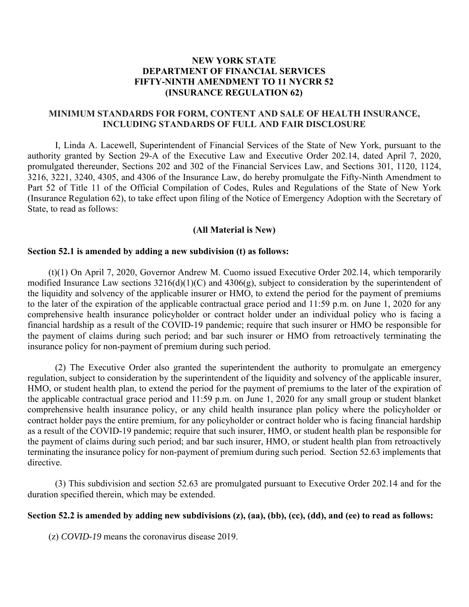# **NEW YORK STATE DEPARTMENT OF FINANCIAL SERVICES FIFTY-NINTH AMENDMENT TO 11 NYCRR 52 (INSURANCE REGULATION 62)**

# **MINIMUM STANDARDS FOR FORM, CONTENT AND SALE OF HEALTH INSURANCE, INCLUDING STANDARDS OF FULL AND FAIR DISCLOSURE**

 Part 52 of Title 11 of the Official Compilation of Codes, Rules and Regulations of the State of New York (Insurance Regulation 62), to take effect upon filing of the Notice of Emergency Adoption with the Secretary of I, Linda A. Lacewell, Superintendent of Financial Services of the State of New York, pursuant to the authority granted by Section 29-A of the Executive Law and Executive Order 202.14, dated April 7, 2020, promulgated thereunder, Sections 202 and 302 of the Financial Services Law, and Sections 301, 1120, 1124, 3216, 3221, 3240, 4305, and 4306 of the Insurance Law, do hereby promulgate the Fifty-Ninth Amendment to State, to read as follows:

#### **(All Material is New)**

#### **Section 52.1 is amended by adding a new subdivision (t) as follows:**

(t)(1) On April 7, 2020, Governor Andrew M. Cuomo issued Executive Order 202.14, which temporarily modified Insurance Law sections  $3216(d)(1)(C)$  and  $4306(g)$ , subject to consideration by the superintendent of the liquidity and solvency of the applicable insurer or HMO, to extend the period for the payment of premiums to the later of the expiration of the applicable contractual grace period and 11:59 p.m. on June 1, 2020 for any comprehensive health insurance policyholder or contract holder under an individual policy who is facing a financial hardship as a result of the COVID-19 pandemic; require that such insurer or HMO be responsible for the payment of claims during such period; and bar such insurer or HMO from retroactively terminating the insurance policy for non-payment of premium during such period.

 the payment of claims during such period; and bar such insurer, HMO, or student health plan from retroactively (2) The Executive Order also granted the superintendent the authority to promulgate an emergency regulation, subject to consideration by the superintendent of the liquidity and solvency of the applicable insurer, HMO, or student health plan, to extend the period for the payment of premiums to the later of the expiration of the applicable contractual grace period and 11:59 p.m. on June 1, 2020 for any small group or student blanket comprehensive health insurance policy, or any child health insurance plan policy where the policyholder or contract holder pays the entire premium, for any policyholder or contract holder who is facing financial hardship as a result of the COVID-19 pandemic; require that such insurer, HMO, or student health plan be responsible for terminating the insurance policy for non-payment of premium during such period. Section 52.63 implements that directive.

(3) This subdivision and section 52.63 are promulgated pursuant to Executive Order 202.14 and for the duration specified therein, which may be extended.

### **Section 52.2 is amended by adding new subdivisions (z), (aa), (bb), (cc), (dd), and (ee) to read as follows:**

(z) *COVID-19* means the coronavirus disease 2019.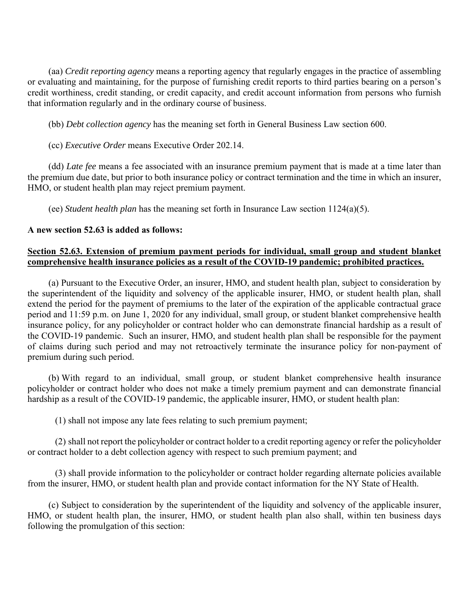(aa) *Credit reporting agency* means a reporting agency that regularly engages in the practice of assembling or evaluating and maintaining, for the purpose of furnishing credit reports to third parties bearing on a person's credit worthiness, credit standing, or credit capacity, and credit account information from persons who furnish that information regularly and in the ordinary course of business.

(bb) *Debt collection agency* has the meaning set forth in General Business Law section 600.

(cc) *Executive Order* means Executive Order 202.14.

 (dd) *Late fee* means a fee associated with an insurance premium payment that is made at a time later than the premium due date, but prior to both insurance policy or contract termination and the time in which an insurer, HMO, or student health plan may reject premium payment.

(ee) *Student health plan* has the meaning set forth in Insurance Law section 1124(a)(5).

## **A new section 52.63 is added as follows:**

# **comprehensive health insurance policies as a result of the COVID-19 pandemic; prohibited practices. Section 52.63. Extension of premium payment periods for individual, small group and student blanket**

 extend the period for the payment of premiums to the later of the expiration of the applicable contractual grace insurance policy, for any policyholder or contract holder who can demonstrate financial hardship as a result of (a) Pursuant to the Executive Order, an insurer, HMO, and student health plan, subject to consideration by the superintendent of the liquidity and solvency of the applicable insurer, HMO, or student health plan, shall period and 11:59 p.m. on June 1, 2020 for any individual, small group, or student blanket comprehensive health the COVID-19 pandemic. Such an insurer, HMO, and student health plan shall be responsible for the payment of claims during such period and may not retroactively terminate the insurance policy for non-payment of premium during such period.

(b) With regard to an individual, small group, or student blanket comprehensive health insurance policyholder or contract holder who does not make a timely premium payment and can demonstrate financial hardship as a result of the COVID-19 pandemic, the applicable insurer, HMO, or student health plan:

(1) shall not impose any late fees relating to such premium payment;

(2) shall not report the policyholder or contract holder to a credit reporting agency or refer the policyholder or contract holder to a debt collection agency with respect to such premium payment; and

(3) shall provide information to the policyholder or contract holder regarding alternate policies available from the insurer, HMO, or student health plan and provide contact information for the NY State of Health.

(c) Subject to consideration by the superintendent of the liquidity and solvency of the applicable insurer, HMO, or student health plan, the insurer, HMO, or student health plan also shall, within ten business days following the promulgation of this section: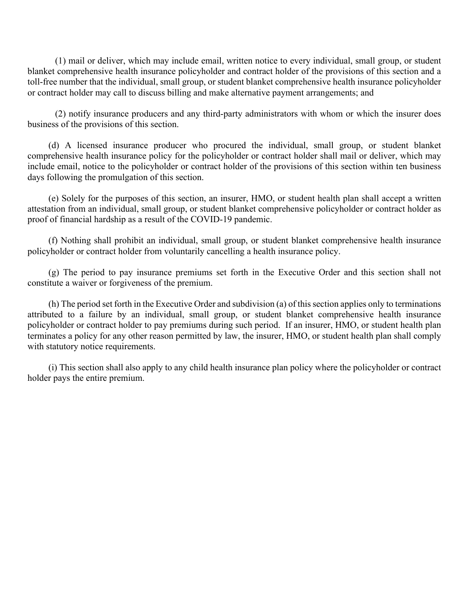(1) mail or deliver, which may include email, written notice to every individual, small group, or student blanket comprehensive health insurance policyholder and contract holder of the provisions of this section and a toll-free number that the individual, small group, or student blanket comprehensive health insurance policyholder or contract holder may call to discuss billing and make alternative payment arrangements; and

(2) notify insurance producers and any third-party administrators with whom or which the insurer does business of the provisions of this section.

 include email, notice to the policyholder or contract holder of the provisions of this section within ten business (d) A licensed insurance producer who procured the individual, small group, or student blanket comprehensive health insurance policy for the policyholder or contract holder shall mail or deliver, which may days following the promulgation of this section.

(e) Solely for the purposes of this section, an insurer, HMO, or student health plan shall accept a written attestation from an individual, small group, or student blanket comprehensive policyholder or contract holder as proof of financial hardship as a result of the COVID-19 pandemic.

(f) Nothing shall prohibit an individual, small group, or student blanket comprehensive health insurance policyholder or contract holder from voluntarily cancelling a health insurance policy.

(g) The period to pay insurance premiums set forth in the Executive Order and this section shall not constitute a waiver or forgiveness of the premium.

(h) The period set forth in the Executive Order and subdivision (a) of this section applies only to terminations attributed to a failure by an individual, small group, or student blanket comprehensive health insurance policyholder or contract holder to pay premiums during such period. If an insurer, HMO, or student health plan terminates a policy for any other reason permitted by law, the insurer, HMO, or student health plan shall comply with statutory notice requirements.

(i) This section shall also apply to any child health insurance plan policy where the policyholder or contract holder pays the entire premium.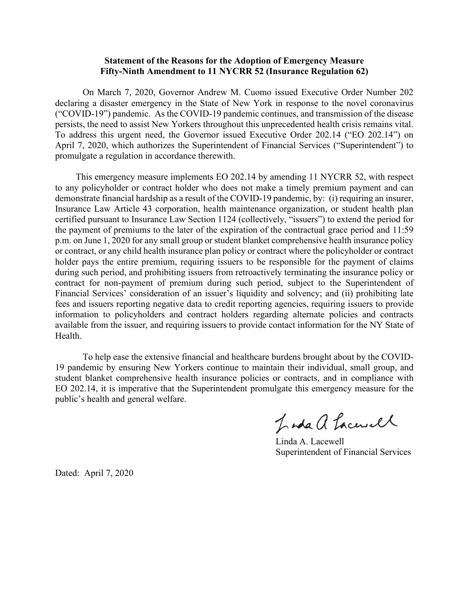### **Statement of the Reasons for the Adoption of Emergency Measure Fifty-Ninth Amendment to 11 NYCRR 52 (Insurance Regulation 62)**

 ("COVID-19") pandemic. As the COVID-19 pandemic continues, and transmission of the disease To address this urgent need, the Governor issued Executive Order 202.14 ("EO 202.14") on On March 7, 2020, Governor Andrew M. Cuomo issued Executive Order Number 202 declaring a disaster emergency in the State of New York in response to the novel coronavirus persists, the need to assist New Yorkers throughout this unprecedented health crisis remains vital. April 7, 2020, which authorizes the Superintendent of Financial Services ("Superintendent") to promulgate a regulation in accordance therewith.

 This emergency measure implements EO 202.14 by amending 11 NYCRR 52, with respect demonstrate financial hardship as a result of the COVID-19 pandemic, by: (i) requiring an insurer, information to policyholders and contract holders regarding alternate policies and contracts to any policyholder or contract holder who does not make a timely premium payment and can Insurance Law Article 43 corporation, health maintenance organization, or student health plan certified pursuant to Insurance Law Section 1124 (collectively, "issuers") to extend the period for the payment of premiums to the later of the expiration of the contractual grace period and 11:59 p.m. on June 1, 2020 for any small group or student blanket comprehensive health insurance policy or contract, or any child health insurance plan policy or contract where the policyholder or contract holder pays the entire premium, requiring issuers to be responsible for the payment of claims during such period, and prohibiting issuers from retroactively terminating the insurance policy or contract for non-payment of premium during such period, subject to the Superintendent of Financial Services' consideration of an issuer's liquidity and solvency; and (ii) prohibiting late fees and issuers reporting negative data to credit reporting agencies, requiring issuers to provide available from the issuer, and requiring issuers to provide contact information for the NY State of Health.

 To help ease the extensive financial and healthcare burdens brought about by the COVID- EO 202.14, it is imperative that the Superintendent promulgate this emergency measure for the 19 pandemic by ensuring New Yorkers continue to maintain their individual, small group, and student blanket comprehensive health insurance policies or contracts, and in compliance with public's health and general welfare.

Inda a Lacurel

Linda A. Lacewell Superintendent of Financial Services

Dated: April 7, 2020